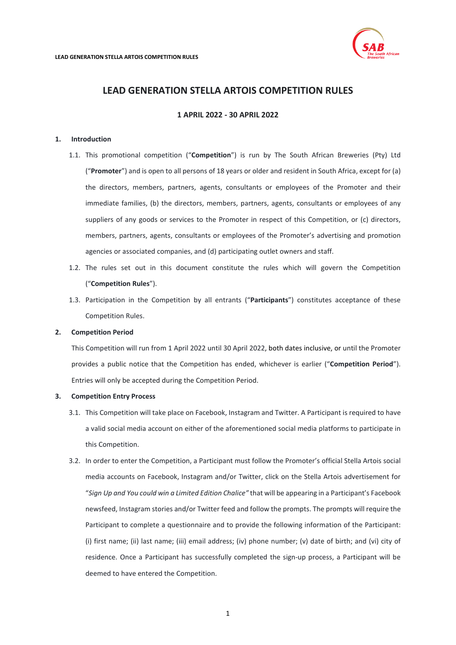

**1 APRIL 2022 - 30 APRIL 2022**

## <span id="page-0-0"></span>**1. Introduction**

- 1.1. This promotional competition ("**Competition**") is run by The South African Breweries (Pty) Ltd ("**Promoter**") and is open to all persons of 18 years or older and resident in South Africa, except for (a) the directors, members, partners, agents, consultants or employees of the Promoter and their immediate families, (b) the directors, members, partners, agents, consultants or employees of any suppliers of any goods or services to the Promoter in respect of this Competition, or (c) directors, members, partners, agents, consultants or employees of the Promoter's advertising and promotion agencies or associated companies, and (d) participating outlet owners and staff.
- 1.2. The rules set out in this document constitute the rules which will govern the Competition ("**Competition Rules**").
- 1.3. Participation in the Competition by all entrants ("**Participants**") constitutes acceptance of these Competition Rules.

# **2. Competition Period**

This Competition will run from 1 April 2022 until 30 April 2022, both dates inclusive, or until the Promoter provides a public notice that the Competition has ended, whichever is earlier ("**Competition Period**"). Entries will only be accepted during the Competition Period.

#### **3. Competition Entry Process**

- 3.1. This Competition will take place on Facebook, Instagram and Twitter. A Participant is required to have a valid social media account on either of the aforementioned social media platforms to participate in this Competition.
- 3.2. In order to enter the Competition, a Participant must follow the Promoter's official Stella Artois social media accounts on Facebook, Instagram and/or Twitter, click on the Stella Artois advertisement for "*Sign Up and You could win a Limited Edition Chalice"* that will be appearing in a Participant's Facebook newsfeed, Instagram stories and/or Twitter feed and follow the prompts. The prompts will require the Participant to complete a questionnaire and to provide the following information of the Participant: (i) first name; (ii) last name; (iii) email address; (iv) phone number; (v) date of birth; and (vi) city of residence. Once a Participant has successfully completed the sign-up process, a Participant will be deemed to have entered the Competition.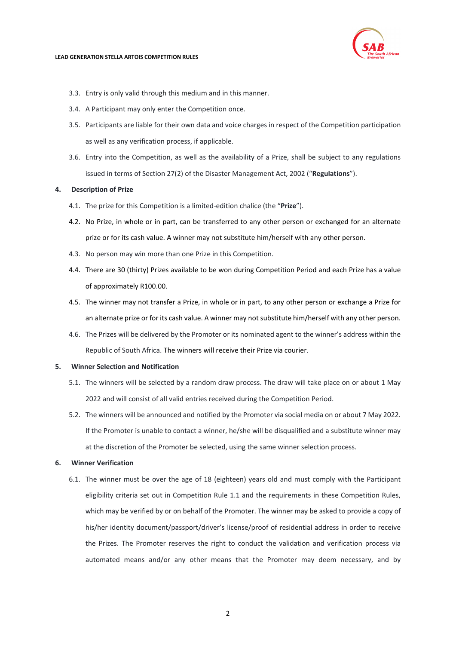

- 3.3. Entry is only valid through this medium and in this manner.
- 3.4. A Participant may only enter the Competition once.
- 3.5. Participants are liable for their own data and voice charges in respect of the Competition participation as well as any verification process, if applicable.
- 3.6. Entry into the Competition, as well as the availability of a Prize, shall be subject to any regulations issued in terms of Section 27(2) of the Disaster Management Act, 2002 ("**Regulations**").

## **4. Description of Prize**

- 4.1. The prize for this Competition is a limited-edition chalice (the "**Prize**").
- 4.2. No Prize, in whole or in part, can be transferred to any other person or exchanged for an alternate prize or for its cash value. A winner may not substitute him/herself with any other person.
- 4.3. No person may win more than one Prize in this Competition.
- 4.4. There are 30 (thirty) Prizes available to be won during Competition Period and each Prize has a value of approximately R100.00.
- 4.5. The winner may not transfer a Prize, in whole or in part, to any other person or exchange a Prize for an alternate prize or for its cash value. A winner may not substitute him/herself with any other person.
- 4.6. The Prizes will be delivered by the Promoter or its nominated agent to the winner's address within the Republic of South Africa. The winners will receive their Prize via courier.

# **5. Winner Selection and Notification**

- 5.1. The winners will be selected by a random draw process. The draw will take place on or about 1 May 2022 and will consist of all valid entries received during the Competition Period.
- 5.2. The winners will be announced and notified by the Promoter via social media on or about 7 May 2022. If the Promoter is unable to contact a winner, he/she will be disqualified and a substitute winner may at the discretion of the Promoter be selected, using the same winner selection process.

#### **6. Winner Verification**

6.1. The winner must be over the age of 18 (eighteen) years old and must comply with the Participant eligibility criteria set out in Competition Rule [1.1](#page-0-0) and the requirements in these Competition Rules, which may be verified by or on behalf of the Promoter. The winner may be asked to provide a copy of his/her identity document/passport/driver's license/proof of residential address in order to receive the Prizes. The Promoter reserves the right to conduct the validation and verification process via automated means and/or any other means that the Promoter may deem necessary, and by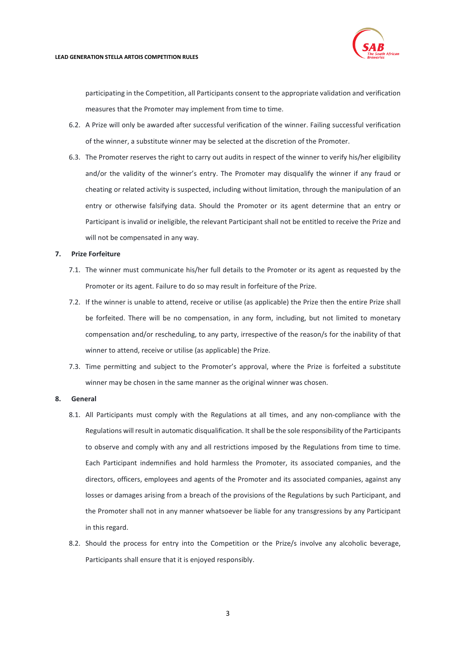

participating in the Competition, all Participants consent to the appropriate validation and verification measures that the Promoter may implement from time to time.

- 6.2. A Prize will only be awarded after successful verification of the winner. Failing successful verification of the winner, a substitute winner may be selected at the discretion of the Promoter.
- 6.3. The Promoter reserves the right to carry out audits in respect of the winner to verify his/her eligibility and/or the validity of the winner's entry. The Promoter may disqualify the winner if any fraud or cheating or related activity is suspected, including without limitation, through the manipulation of an entry or otherwise falsifying data. Should the Promoter or its agent determine that an entry or Participant is invalid or ineligible, the relevant Participant shall not be entitled to receive the Prize and will not be compensated in any way.

#### **7. Prize Forfeiture**

- 7.1. The winner must communicate his/her full details to the Promoter or its agent as requested by the Promoter or its agent. Failure to do so may result in forfeiture of the Prize.
- 7.2. If the winner is unable to attend, receive or utilise (as applicable) the Prize then the entire Prize shall be forfeited. There will be no compensation, in any form, including, but not limited to monetary compensation and/or rescheduling, to any party, irrespective of the reason/s for the inability of that winner to attend, receive or utilise (as applicable) the Prize.
- 7.3. Time permitting and subject to the Promoter's approval, where the Prize is forfeited a substitute winner may be chosen in the same manner as the original winner was chosen.

### **8. General**

- 8.1. All Participants must comply with the Regulations at all times, and any non-compliance with the Regulations will result in automatic disqualification. It shall be the sole responsibility of the Participants to observe and comply with any and all restrictions imposed by the Regulations from time to time. Each Participant indemnifies and hold harmless the Promoter, its associated companies, and the directors, officers, employees and agents of the Promoter and its associated companies, against any losses or damages arising from a breach of the provisions of the Regulations by such Participant, and the Promoter shall not in any manner whatsoever be liable for any transgressions by any Participant in this regard.
- 8.2. Should the process for entry into the Competition or the Prize/s involve any alcoholic beverage, Participants shall ensure that it is enjoyed responsibly.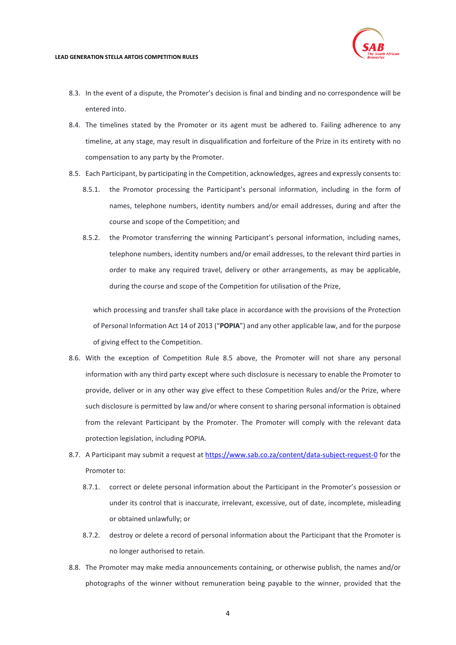

- 8.3. In the event of a dispute, the Promoter's decision is final and binding and no correspondence will be entered into.
- 8.4. The timelines stated by the Promoter or its agent must be adhered to. Failing adherence to any timeline, at any stage, may result in disqualification and forfeiture of the Prize in its entirety with no compensation to any party by the Promoter.
- <span id="page-3-0"></span>8.5. Each Participant, by participating in the Competition, acknowledges, agrees and expressly consents to:
	- 8.5.1. the Promotor processing the Participant's personal information, including in the form of names, telephone numbers, identity numbers and/or email addresses, during and after the course and scope of the Competition; and
	- 8.5.2. the Promotor transferring the winning Participant's personal information, including names, telephone numbers, identity numbers and/or email addresses, to the relevant third parties in order to make any required travel, delivery or other arrangements, as may be applicable, during the course and scope of the Competition for utilisation of the Prize,

which processing and transfer shall take place in accordance with the provisions of the Protection of Personal Information Act 14 of 2013 ("**POPIA**") and any other applicable law, and for the purpose of giving effect to the Competition.

- 8.6. With the exception of Competition Rule [8.5](#page-3-0) above, the Promoter will not share any personal information with any third party except where such disclosure is necessary to enable the Promoter to provide, deliver or in any other way give effect to these Competition Rules and/or the Prize, where such disclosure is permitted by law and/or where consent to sharing personal information is obtained from the relevant Participant by the Promoter. The Promoter will comply with the relevant data protection legislation, including POPIA.
- 8.7. A Participant may submit a request at<https://www.sab.co.za/content/data-subject-request-0> for the Promoter to:
	- 8.7.1. correct or delete personal information about the Participant in the Promoter's possession or under its control that is inaccurate, irrelevant, excessive, out of date, incomplete, misleading or obtained unlawfully; or
	- 8.7.2. destroy or delete a record of personal information about the Participant that the Promoter is no longer authorised to retain.
- 8.8. The Promoter may make media announcements containing, or otherwise publish, the names and/or photographs of the winner without remuneration being payable to the winner, provided that the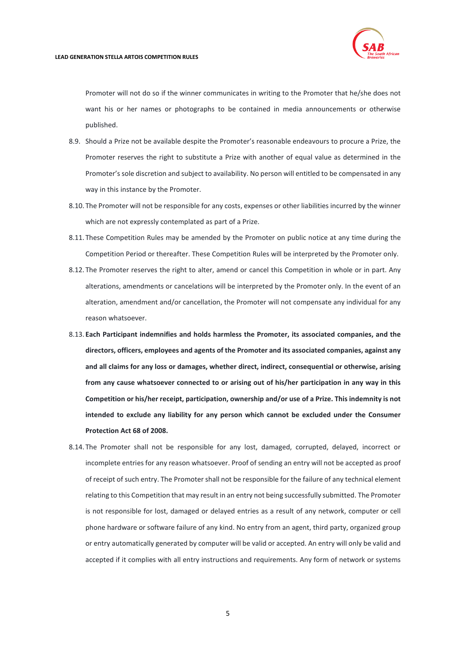Promoter will not do so if the winner communicates in writing to the Promoter that he/she does not want his or her names or photographs to be contained in media announcements or otherwise published.

- 8.9. Should a Prize not be available despite the Promoter's reasonable endeavours to procure a Prize, the Promoter reserves the right to substitute a Prize with another of equal value as determined in the Promoter's sole discretion and subject to availability. No person will entitled to be compensated in any way in this instance by the Promoter.
- 8.10. The Promoter will not be responsible for any costs, expenses or other liabilities incurred by the winner which are not expressly contemplated as part of a Prize.
- 8.11. These Competition Rules may be amended by the Promoter on public notice at any time during the Competition Period or thereafter. These Competition Rules will be interpreted by the Promoter only.
- 8.12. The Promoter reserves the right to alter, amend or cancel this Competition in whole or in part. Any alterations, amendments or cancelations will be interpreted by the Promoter only. In the event of an alteration, amendment and/or cancellation, the Promoter will not compensate any individual for any reason whatsoever.
- 8.13. **Each Participant indemnifies and holds harmless the Promoter, its associated companies, and the directors, officers, employees and agents of the Promoter and its associated companies, against any and all claims for any loss or damages, whether direct, indirect, consequential or otherwise, arising from any cause whatsoever connected to or arising out of his/her participation in any way in this Competition or his/her receipt, participation, ownership and/or use of a Prize. This indemnity is not intended to exclude any liability for any person which cannot be excluded under the Consumer Protection Act 68 of 2008.**
- 8.14. The Promoter shall not be responsible for any lost, damaged, corrupted, delayed, incorrect or incomplete entries for any reason whatsoever. Proof of sending an entry will not be accepted as proof of receipt of such entry. The Promoter shall not be responsible for the failure of any technical element relating to this Competition that may result in an entry not being successfully submitted. The Promoter is not responsible for lost, damaged or delayed entries as a result of any network, computer or cell phone hardware or software failure of any kind. No entry from an agent, third party, organized group or entry automatically generated by computer will be valid or accepted. An entry will only be valid and accepted if it complies with all entry instructions and requirements. Any form of network or systems